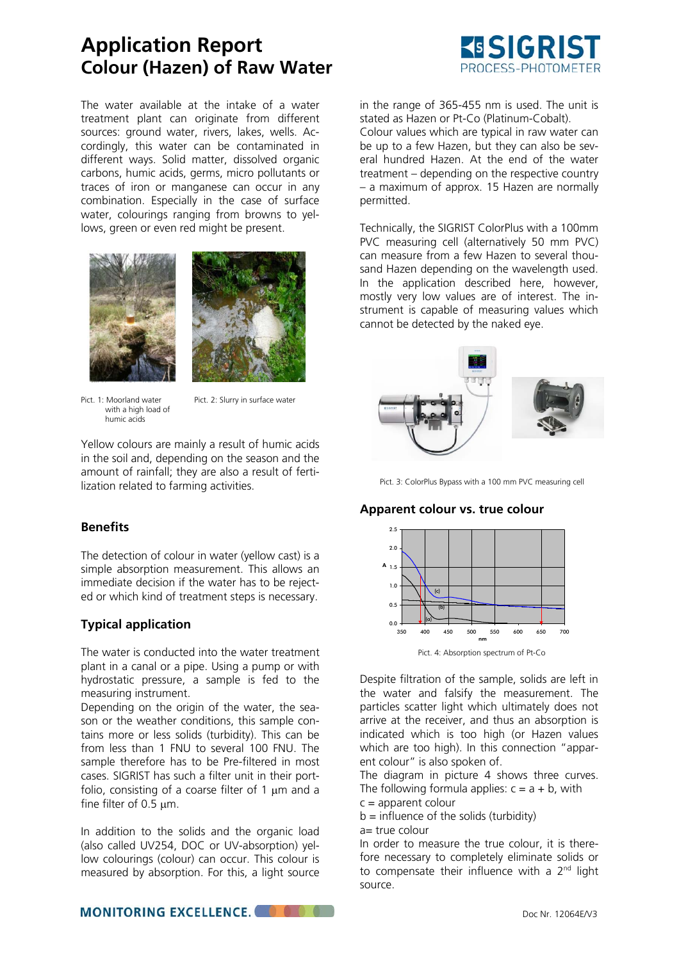# **Application Report Colour (Hazen) of Raw Water**

The water available at the intake of a water treatment plant can originate from different sources: ground water, rivers, lakes, wells. Accordingly, this water can be contaminated in different ways. Solid matter, dissolved organic carbons, humic acids, germs, micro pollutants or traces of iron or manganese can occur in any combination. Especially in the case of surface water, colourings ranging from browns to yellows, green or even red might be present.





with a high load of humic acids

Pict. 1: Moorland water Pict. 2: Slurry in surface water

Yellow colours are mainly a result of humic acids in the soil and, depending on the season and the amount of rainfall; they are also a result of fertilization related to farming activities.

#### **Benefits**

The detection of colour in water (yellow cast) is a simple absorption measurement. This allows an immediate decision if the water has to be rejected or which kind of treatment steps is necessary.

## **Typical application**

The water is conducted into the water treatment plant in a canal or a pipe. Using a pump or with hydrostatic pressure, a sample is fed to the measuring instrument.

Depending on the origin of the water, the season or the weather conditions, this sample contains more or less solids (turbidity). This can be from less than 1 FNU to several 100 FNU. The sample therefore has to be Pre-filtered in most cases. SIGRIST has such a filter unit in their portfolio, consisting of a coarse filter of 1  $\mu$ m and a fine filter of 0.5  $\mu$ m.

In addition to the solids and the organic load (also called UV254, DOC or UV-absorption) yellow colourings (colour) can occur. This colour is measured by absorption. For this, a light source



in the range of 365-455 nm is used. The unit is stated as Hazen or Pt-Co (Platinum-Cobalt). Colour values which are typical in raw water can be up to a few Hazen, but they can also be several hundred Hazen. At the end of the water treatment – depending on the respective country – a maximum of approx. 15 Hazen are normally permitted.

Technically, the SIGRIST ColorPlus with a 100mm PVC measuring cell (alternatively 50 mm PVC) can measure from a few Hazen to several thousand Hazen depending on the wavelength used. In the application described here, however, mostly very low values are of interest. The instrument is capable of measuring values which cannot be detected by the naked eye.



Pict. 3: ColorPlus Bypass with a 100 mm PVC measuring cell

## **Apparent colour vs. true colour**



Pict. 4: Absorption spectrum of Pt-Co

Despite filtration of the sample, solids are left in the water and falsify the measurement. The particles scatter light which ultimately does not arrive at the receiver, and thus an absorption is indicated which is too high (or Hazen values which are too high). In this connection "apparent colour" is also spoken of.

The diagram in picture 4 shows three curves. The following formula applies:  $c = a + b$ , with

 $c =$  apparent colour

 $b =$  influence of the solids (turbidity)

a= true colour

In order to measure the true colour, it is therefore necessary to completely eliminate solids or to compensate their influence with a 2<sup>nd</sup> light source.

**MONITORING EXCELLENCE.**